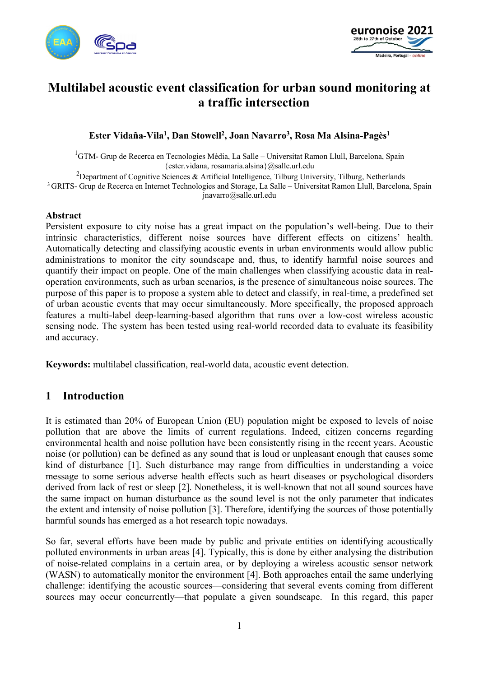



# **Multilabel acoustic event classification for urban sound monitoring at a traffic intersection**

### **Ester Vidaña-Vila1, Dan Stowell2, Joan Navarro3, Rosa Ma Alsina-Pagès1**

<sup>1</sup>GTM- Grup de Recerca en Tecnologies Mèdia, La Salle – Universitat Ramon Llull, Barcelona, Spain {ester.vidana, rosamaria.alsina}@salle.url.edu

<sup>2</sup>Department of Cognitive Sciences & Artificial Intelligence, Tilburg University, Tilburg, Netherlands

3 GRITS- Grup de Recerca en Internet Technologies and Storage, La Salle – Universitat Ramon Llull, Barcelona, Spain jnavarro@salle.url.edu

#### **Abstract**

Persistent exposure to city noise has a great impact on the population's well-being. Due to their intrinsic characteristics, different noise sources have different effects on citizens' health. Automatically detecting and classifying acoustic events in urban environments would allow public administrations to monitor the city soundscape and, thus, to identify harmful noise sources and quantify their impact on people. One of the main challenges when classifying acoustic data in realoperation environments, such as urban scenarios, is the presence of simultaneous noise sources. The purpose of this paper is to propose a system able to detect and classify, in real-time, a predefined set of urban acoustic events that may occur simultaneously. More specifically, the proposed approach features a multi-label deep-learning-based algorithm that runs over a low-cost wireless acoustic sensing node. The system has been tested using real-world recorded data to evaluate its feasibility and accuracy.

**Keywords:** multilabel classification, real-world data, acoustic event detection.

# **1 Introduction**

It is estimated than 20% of European Union (EU) population might be exposed to levels of noise pollution that are above the limits of current regulations. Indeed, citizen concerns regarding environmental health and noise pollution have been consistently rising in the recent years. Acoustic noise (or pollution) can be defined as any sound that is loud or unpleasant enough that causes some kind of disturbance [1]. Such disturbance may range from difficulties in understanding a voice message to some serious adverse health effects such as heart diseases or psychological disorders derived from lack of rest or sleep [2]. Nonetheless, it is well-known that not all sound sources have the same impact on human disturbance as the sound level is not the only parameter that indicates the extent and intensity of noise pollution [3]. Therefore, identifying the sources of those potentially harmful sounds has emerged as a hot research topic nowadays.

So far, several efforts have been made by public and private entities on identifying acoustically polluted environments in urban areas [4]. Typically, this is done by either analysing the distribution of noise-related complains in a certain area, or by deploying a wireless acoustic sensor network (WASN) to automatically monitor the environment [4]. Both approaches entail the same underlying challenge: identifying the acoustic sources—considering that several events coming from different sources may occur concurrently—that populate a given soundscape. In this regard, this paper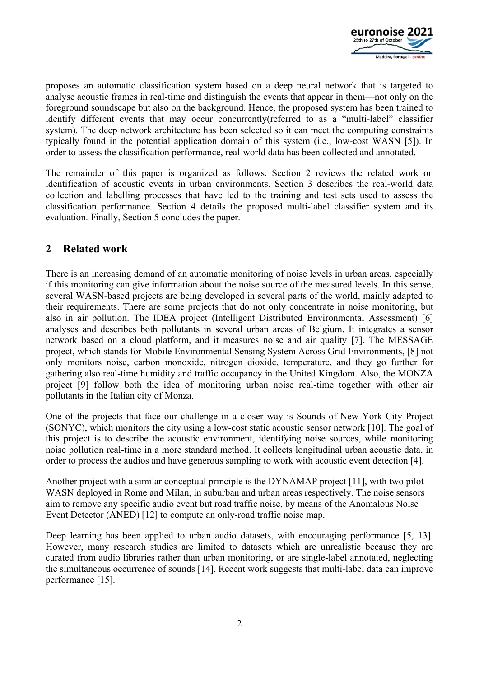

proposes an automatic classification system based on a deep neural network that is targeted to analyse acoustic frames in real-time and distinguish the events that appear in them—not only on the foreground soundscape but also on the background. Hence, the proposed system has been trained to identify different events that may occur concurrently(referred to as a "multi-label" classifier system). The deep network architecture has been selected so it can meet the computing constraints typically found in the potential application domain of this system (i.e., low-cost WASN [5]). In order to assess the classification performance, real-world data has been collected and annotated.

The remainder of this paper is organized as follows. Section 2 reviews the related work on identification of acoustic events in urban environments. Section 3 describes the real-world data collection and labelling processes that have led to the training and test sets used to assess the classification performance. Section 4 details the proposed multi-label classifier system and its evaluation. Finally, Section 5 concludes the paper.

# **2 Related work**

There is an increasing demand of an automatic monitoring of noise levels in urban areas, especially if this monitoring can give information about the noise source of the measured levels. In this sense, several WASN-based projects are being developed in several parts of the world, mainly adapted to their requirements. There are some projects that do not only concentrate in noise monitoring, but also in air pollution. The IDEA project (Intelligent Distributed Environmental Assessment) [6] analyses and describes both pollutants in several urban areas of Belgium. It integrates a sensor network based on a cloud platform, and it measures noise and air quality [7]. The MESSAGE project, which stands for Mobile Environmental Sensing System Across Grid Environments, [8] not only monitors noise, carbon monoxide, nitrogen dioxide, temperature, and they go further for gathering also real-time humidity and traffic occupancy in the United Kingdom. Also, the MONZA project [9] follow both the idea of monitoring urban noise real-time together with other air pollutants in the Italian city of Monza.

One of the projects that face our challenge in a closer way is Sounds of New York City Project (SONYC), which monitors the city using a low-cost static acoustic sensor network [10]. The goal of this project is to describe the acoustic environment, identifying noise sources, while monitoring noise pollution real-time in a more standard method. It collects longitudinal urban acoustic data, in order to process the audios and have generous sampling to work with acoustic event detection [4].

Another project with a similar conceptual principle is the DYNAMAP project [11], with two pilot WASN deployed in Rome and Milan, in suburban and urban areas respectively. The noise sensors aim to remove any specific audio event but road traffic noise, by means of the Anomalous Noise Event Detector (ANED) [12] to compute an only-road traffic noise map.

Deep learning has been applied to urban audio datasets, with encouraging performance [5, 13]. However, many research studies are limited to datasets which are unrealistic because they are curated from audio libraries rather than urban monitoring, or are single-label annotated, neglecting the simultaneous occurrence of sounds [14]. Recent work suggests that multi-label data can improve performance [15].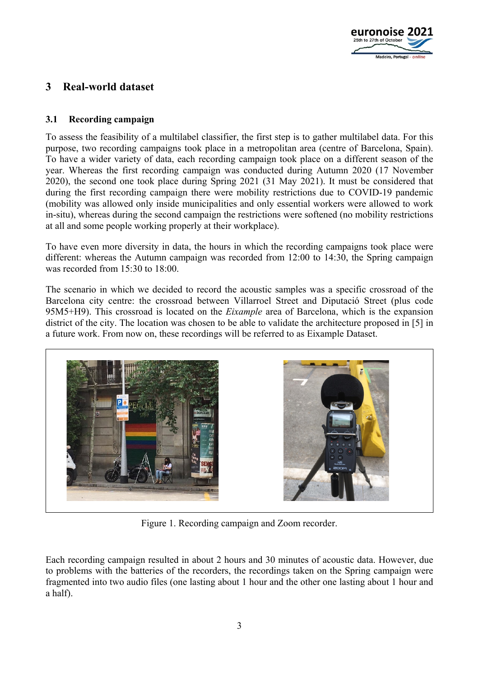

# **3 Real-world dataset**

### **3.1 Recording campaign**

To assess the feasibility of a multilabel classifier, the first step is to gather multilabel data. For this purpose, two recording campaigns took place in a metropolitan area (centre of Barcelona, Spain). To have a wider variety of data, each recording campaign took place on a different season of the year. Whereas the first recording campaign was conducted during Autumn 2020 (17 November 2020), the second one took place during Spring 2021 (31 May 2021). It must be considered that during the first recording campaign there were mobility restrictions due to COVID-19 pandemic (mobility was allowed only inside municipalities and only essential workers were allowed to work in-situ), whereas during the second campaign the restrictions were softened (no mobility restrictions at all and some people working properly at their workplace).

To have even more diversity in data, the hours in which the recording campaigns took place were different: whereas the Autumn campaign was recorded from 12:00 to 14:30, the Spring campaign was recorded from 15:30 to 18:00.

The scenario in which we decided to record the acoustic samples was a specific crossroad of the Barcelona city centre: the crossroad between Villarroel Street and Diputació Street (plus code 95M5+H9). This crossroad is located on the *Eixample* area of Barcelona, which is the expansion district of the city. The location was chosen to be able to validate the architecture proposed in [5] in a future work. From now on, these recordings will be referred to as Eixample Dataset.



Figure 1. Recording campaign and Zoom recorder.

Each recording campaign resulted in about 2 hours and 30 minutes of acoustic data. However, due to problems with the batteries of the recorders, the recordings taken on the Spring campaign were fragmented into two audio files (one lasting about 1 hour and the other one lasting about 1 hour and a half).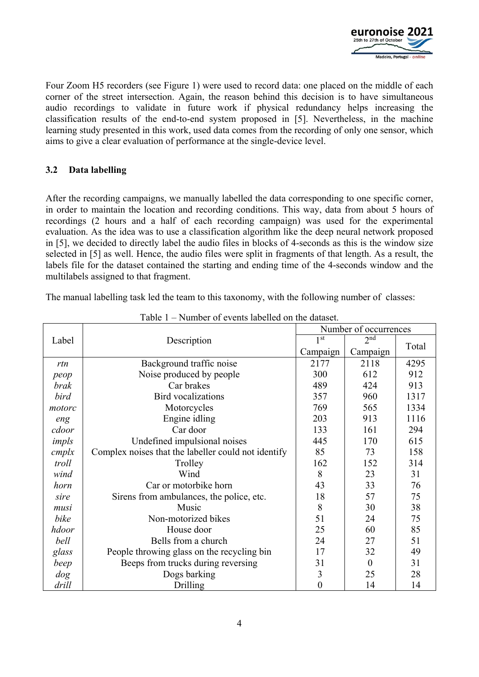

Four Zoom H5 recorders (see Figure 1) were used to record data: one placed on the middle of each corner of the street intersection. Again, the reason behind this decision is to have simultaneous audio recordings to validate in future work if physical redundancy helps increasing the classification results of the end-to-end system proposed in [5]. Nevertheless, in the machine learning study presented in this work, used data comes from the recording of only one sensor, which aims to give a clear evaluation of performance at the single-device level.

### **3.2 Data labelling**

After the recording campaigns, we manually labelled the data corresponding to one specific corner, in order to maintain the location and recording conditions. This way, data from about 5 hours of recordings (2 hours and a half of each recording campaign) was used for the experimental evaluation. As the idea was to use a classification algorithm like the deep neural network proposed in [5], we decided to directly label the audio files in blocks of 4-seconds as this is the window size selected in [5] as well. Hence, the audio files were split in fragments of that length. As a result, the labels file for the dataset contained the starting and ending time of the 4-seconds window and the multilabels assigned to that fragment.

The manual labelling task led the team to this taxonomy, with the following number of classes:

|          |                                                     | Number of occurrences |                 |       |  |
|----------|-----------------------------------------------------|-----------------------|-----------------|-------|--|
| Label    | Description                                         | 1 <sup>st</sup>       | 2 <sup>nd</sup> | Total |  |
|          |                                                     | Campaign              | Campaign        |       |  |
| rtn      | Background traffic noise                            | 2177                  | 2118            | 4295  |  |
| peop     | Noise produced by people                            | 300                   | 612             | 912   |  |
| brak     | Car brakes                                          | 489                   | 424             | 913   |  |
| bird     | <b>Bird</b> vocalizations                           | 357                   | 960             | 1317  |  |
| motorc   | Motorcycles                                         | 769                   | 565             | 1334  |  |
| eng      | Engine idling                                       | 203                   | 913             | 1116  |  |
| cdoor    | Car door                                            | 133                   | 161             | 294   |  |
| impls    | Undefined impulsional noises                        | 445                   | 170             | 615   |  |
| $cm$ plx | Complex noises that the labeller could not identify | 85                    | 73              | 158   |  |
| troll    | Trolley                                             | 162                   | 152             | 314   |  |
| wind     | Wind                                                | 8                     | 23              | 31    |  |
| horn     | Car or motorbike horn                               | 43                    | 33              | 76    |  |
| sire     | Sirens from ambulances, the police, etc.            | 18                    | 57              | 75    |  |
| musi     | Music                                               | 8                     | 30              | 38    |  |
| bike     | Non-motorized bikes                                 | 51                    | 24              | 75    |  |
| hdoor    | House door                                          | 25                    | 60              | 85    |  |
| bell     | Bells from a church                                 | 24                    | 27              | 51    |  |
| glass    | People throwing glass on the recycling bin          | 17                    | 32              | 49    |  |
| beep     | Beeps from trucks during reversing                  | 31                    | $\theta$        | 31    |  |
| $\log$   | Dogs barking                                        | 3                     | 25              | 28    |  |
| drill    | Drilling                                            | $\overline{0}$        | 14              | 14    |  |

Table 1 – Number of events labelled on the dataset.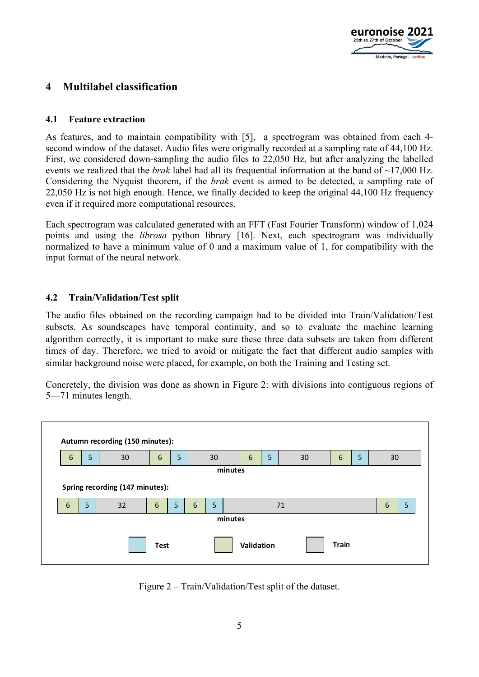

# **4 Multilabel classification**

### **4.1 Feature extraction**

As features, and to maintain compatibility with [5], a spectrogram was obtained from each 4 second window of the dataset. Audio files were originally recorded at a sampling rate of 44,100 Hz. First, we considered down-sampling the audio files to 22,050 Hz, but after analyzing the labelled events we realized that the *brak* label had all its frequential information at the band of ~17,000 Hz. Considering the Nyquist theorem, if the *brak* event is aimed to be detected, a sampling rate of 22,050 Hz is not high enough. Hence, we finally decided to keep the original 44,100 Hz frequency even if it required more computational resources.

Each spectrogram was calculated generated with an FFT (Fast Fourier Transform) window of 1,024 points and using the *librosa* python library [16]. Next, each spectrogram was individually normalized to have a minimum value of 0 and a maximum value of 1, for compatibility with the input format of the neural network.

### **4.2 Train/Validation/Test split**

The audio files obtained on the recording campaign had to be divided into Train/Validation/Test subsets. As soundscapes have temporal continuity, and so to evaluate the machine learning algorithm correctly, it is important to make sure these three data subsets are taken from different times of day. Therefore, we tried to avoid or mitigate the fact that different audio samples with similar background noise were placed, for example, on both the Training and Testing set.

Concretely, the division was done as shown in Figure 2: with divisions into contiguous regions of 5—71 minutes length.



Figure 2 – Train/Validation/Test split of the dataset.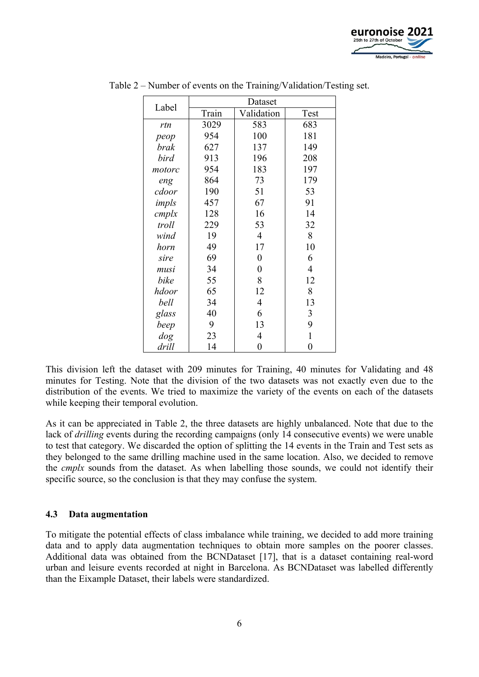

| Label  | Dataset |                  |                |  |
|--------|---------|------------------|----------------|--|
|        | Train   | Validation       | Test           |  |
| rtn    | 3029    | 583              | 683            |  |
| peop   | 954     | 100              | 181            |  |
| brak   | 627     | 137              | 149            |  |
| bird   | 913     | 196              | 208            |  |
| motorc | 954     | 183              | 197            |  |
| eng    | 864     | 73               | 179            |  |
| cdoor  | 190     | 51               | 53             |  |
| impls  | 457     | 67               | 91             |  |
| cmplx  | 128     | 16               | 14             |  |
| troll  | 229     | 53               | 32             |  |
| wind   | 19      | $\overline{4}$   | 8              |  |
| horn   | 49      | 17               | 10             |  |
| sire   | 69      | $\boldsymbol{0}$ | 6              |  |
| musi   | 34      | $\boldsymbol{0}$ | 4              |  |
| bike   | 55      | 8                | 12             |  |
| hdoor  | 65      | 12               | 8              |  |
| bell   | 34      | $\overline{4}$   | 13             |  |
| glass  | 40      | 6                | 3              |  |
| beep   | 9       | 13               | 9              |  |
| dog    | 23      | 4                | $\mathbf{1}$   |  |
| drill  | 14      | $\overline{0}$   | $\overline{0}$ |  |

Table 2 – Number of events on the Training/Validation/Testing set.

This division left the dataset with 209 minutes for Training, 40 minutes for Validating and 48 minutes for Testing. Note that the division of the two datasets was not exactly even due to the distribution of the events. We tried to maximize the variety of the events on each of the datasets while keeping their temporal evolution.

As it can be appreciated in Table 2, the three datasets are highly unbalanced. Note that due to the lack of *drilling* events during the recording campaigns (only 14 consecutive events) we were unable to test that category. We discarded the option of splitting the 14 events in the Train and Test sets as they belonged to the same drilling machine used in the same location. Also, we decided to remove the *cmplx* sounds from the dataset. As when labelling those sounds, we could not identify their specific source, so the conclusion is that they may confuse the system.

#### **4.3 Data augmentation**

To mitigate the potential effects of class imbalance while training, we decided to add more training data and to apply data augmentation techniques to obtain more samples on the poorer classes. Additional data was obtained from the BCNDataset [17], that is a dataset containing real-word urban and leisure events recorded at night in Barcelona. As BCNDataset was labelled differently than the Eixample Dataset, their labels were standardized.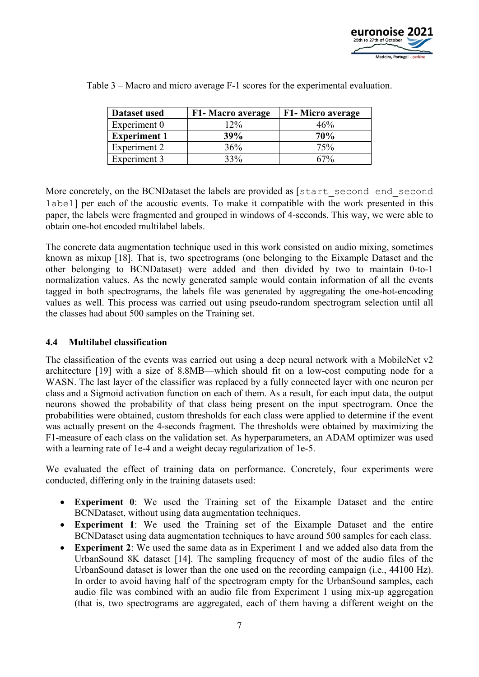

| Dataset used        | F1- Macro average | F1- Micro average |
|---------------------|-------------------|-------------------|
| Experiment 0        | $12\%$            | 46%               |
| <b>Experiment 1</b> | <b>39%</b>        | 70%               |
| Experiment 2        | 36%               | 75%               |
| Experiment 3        | 33%               | 67%               |

Table 3 – Macro and micro average F-1 scores for the experimental evaluation.

More concretely, on the BCNDataset the labels are provided as [start second end second label] per each of the acoustic events. To make it compatible with the work presented in this paper, the labels were fragmented and grouped in windows of 4-seconds. This way, we were able to obtain one-hot encoded multilabel labels.

The concrete data augmentation technique used in this work consisted on audio mixing, sometimes known as mixup [18]. That is, two spectrograms (one belonging to the Eixample Dataset and the other belonging to BCNDataset) were added and then divided by two to maintain 0-to-1 normalization values. As the newly generated sample would contain information of all the events tagged in both spectrograms, the labels file was generated by aggregating the one-hot-encoding values as well. This process was carried out using pseudo-random spectrogram selection until all the classes had about 500 samples on the Training set.

### **4.4 Multilabel classification**

The classification of the events was carried out using a deep neural network with a MobileNet v2 architecture [19] with a size of 8.8MB—which should fit on a low-cost computing node for a WASN. The last layer of the classifier was replaced by a fully connected layer with one neuron per class and a Sigmoid activation function on each of them. As a result, for each input data, the output neurons showed the probability of that class being present on the input spectrogram. Once the probabilities were obtained, custom thresholds for each class were applied to determine if the event was actually present on the 4-seconds fragment. The thresholds were obtained by maximizing the F1-measure of each class on the validation set. As hyperparameters, an ADAM optimizer was used with a learning rate of 1e-4 and a weight decay regularization of 1e-5.

We evaluated the effect of training data on performance. Concretely, four experiments were conducted, differing only in the training datasets used:

- **Experiment 0**: We used the Training set of the Eixample Dataset and the entire BCNDataset, without using data augmentation techniques.
- **Experiment 1**: We used the Training set of the Eixample Dataset and the entire BCNDataset using data augmentation techniques to have around 500 samples for each class.
- **Experiment 2**: We used the same data as in Experiment 1 and we added also data from the UrbanSound 8K dataset [14]. The sampling frequency of most of the audio files of the UrbanSound dataset is lower than the one used on the recording campaign (i.e., 44100 Hz). In order to avoid having half of the spectrogram empty for the UrbanSound samples, each audio file was combined with an audio file from Experiment 1 using mix-up aggregation (that is, two spectrograms are aggregated, each of them having a different weight on the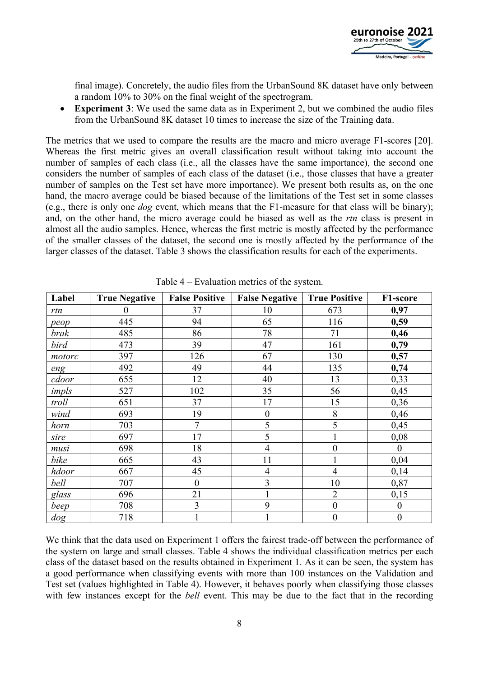

final image). Concretely, the audio files from the UrbanSound 8K dataset have only between a random 10% to 30% on the final weight of the spectrogram.

• **Experiment 3**: We used the same data as in Experiment 2, but we combined the audio files from the UrbanSound 8K dataset 10 times to increase the size of the Training data.

The metrics that we used to compare the results are the macro and micro average F1-scores [20]. Whereas the first metric gives an overall classification result without taking into account the number of samples of each class (i.e., all the classes have the same importance), the second one considers the number of samples of each class of the dataset (i.e., those classes that have a greater number of samples on the Test set have more importance). We present both results as, on the one hand, the macro average could be biased because of the limitations of the Test set in some classes (e.g., there is only one *dog* event, which means that the F1-measure for that class will be binary); and, on the other hand, the micro average could be biased as well as the *rtn* class is present in almost all the audio samples. Hence, whereas the first metric is mostly affected by the performance of the smaller classes of the dataset, the second one is mostly affected by the performance of the larger classes of the dataset. Table 3 shows the classification results for each of the experiments.

| Label  | <b>True Negative</b> | <b>False Positive</b> | <b>False Negative</b> | <b>True Positive</b> | F1-score         |
|--------|----------------------|-----------------------|-----------------------|----------------------|------------------|
| rtn    | $\theta$             | 37                    | 10                    | 673                  | 0,97             |
| peop   | 445                  | 94                    | 65                    | 116                  | 0,59             |
| brak   | 485                  | 86                    | 78                    | 71                   | 0,46             |
| bird   | 473                  | 39                    | 47                    | 161                  | 0,79             |
| motorc | 397                  | 126                   | 67                    | 130                  | 0,57             |
| eng    | 492                  | 49                    | 44                    | 135                  | 0,74             |
| cdoor  | 655                  | 12                    | 40                    | 13                   | 0,33             |
| impls  | 527                  | 102                   | 35                    | 56                   | 0,45             |
| troll  | 651                  | 37                    | 17                    | 15                   | 0,36             |
| wind   | 693                  | 19                    | $\boldsymbol{0}$      | 8                    | 0,46             |
| horn   | 703                  | 7                     | 5                     | 5                    | 0,45             |
| sire   | 697                  | 17                    | 5                     |                      | 0,08             |
| musi   | 698                  | 18                    | $\overline{4}$        | $\overline{0}$       | $\theta$         |
| bike   | 665                  | 43                    | 11                    | $\mathbf{1}$         | 0,04             |
| hdoor  | 667                  | 45                    | $\overline{4}$        | $\overline{4}$       | 0,14             |
| bell   | 707                  | $\overline{0}$        | 3                     | 10                   | 0,87             |
| glass  | 696                  | 21                    |                       | $\overline{2}$       | 0,15             |
| beep   | 708                  | 3                     | 9                     | $\boldsymbol{0}$     | $\boldsymbol{0}$ |
| dog    | 718                  |                       |                       | $\boldsymbol{0}$     | $\boldsymbol{0}$ |

Table 4 – Evaluation metrics of the system.

We think that the data used on Experiment 1 offers the fairest trade-off between the performance of the system on large and small classes. Table 4 shows the individual classification metrics per each class of the dataset based on the results obtained in Experiment 1. As it can be seen, the system has a good performance when classifying events with more than 100 instances on the Validation and Test set (values highlighted in Table 4). However, it behaves poorly when classifying those classes with few instances except for the *bell* event. This may be due to the fact that in the recording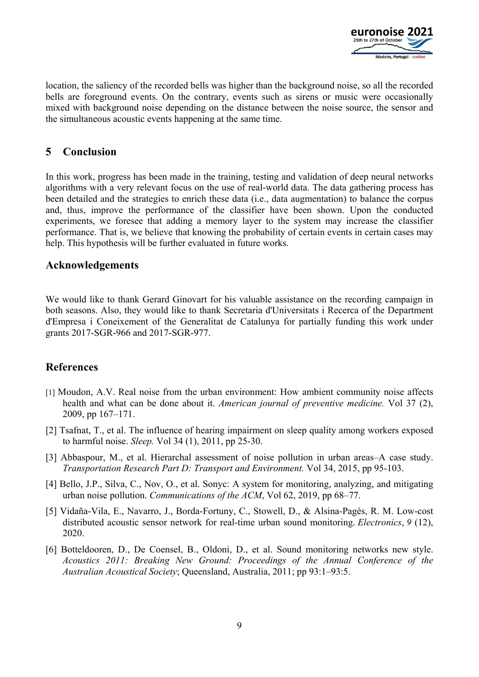

location, the saliency of the recorded bells was higher than the background noise, so all the recorded bells are foreground events. On the contrary, events such as sirens or music were occasionally mixed with background noise depending on the distance between the noise source, the sensor and the simultaneous acoustic events happening at the same time.

# **5 Conclusion**

In this work, progress has been made in the training, testing and validation of deep neural networks algorithms with a very relevant focus on the use of real-world data. The data gathering process has been detailed and the strategies to enrich these data (i.e., data augmentation) to balance the corpus and, thus, improve the performance of the classifier have been shown. Upon the conducted experiments, we foresee that adding a memory layer to the system may increase the classifier performance. That is, we believe that knowing the probability of certain events in certain cases may help. This hypothesis will be further evaluated in future works.

### **Acknowledgements**

We would like to thank Gerard Ginovart for his valuable assistance on the recording campaign in both seasons. Also, they would like to thank Secretaria d'Universitats i Recerca of the Department d'Empresa i Coneixement of the Generalitat de Catalunya for partially funding this work under grants 2017-SGR-966 and 2017-SGR-977.

# **References**

- [1] Moudon, A.V. Real noise from the urban environment: How ambient community noise affects health and what can be done about it. *American journal of preventive medicine.* Vol 37 (2), 2009, pp 167–171.
- [2] Tsafnat, T., et al. The influence of hearing impairment on sleep quality among workers exposed to harmful noise. *Sleep.* Vol 34 (1), 2011, pp 25-30.
- [3] Abbaspour, M., et al. Hierarchal assessment of noise pollution in urban areas–A case study. *Transportation Research Part D: Transport and Environment.* Vol 34, 2015, pp 95-103.
- [4] Bello, J.P., Silva, C., Nov, O., et al. Sonyc: A system for monitoring, analyzing, and mitigating urban noise pollution. *Communications of the ACM*, Vol 62, 2019, pp 68–77.
- [5] Vidaña-Vila, E., Navarro, J., Borda-Fortuny, C., Stowell, D., & Alsina-Pagès, R. M. Low-cost distributed acoustic sensor network for real-time urban sound monitoring. *Electronics*, *9* (12), 2020.
- [6] Botteldooren, D., De Coensel, B., Oldoni, D., et al. Sound monitoring networks new style. *Acoustics 2011: Breaking New Ground: Proceedings of the Annual Conference of the Australian Acoustical Society*; Queensland, Australia, 2011; pp 93:1–93:5.